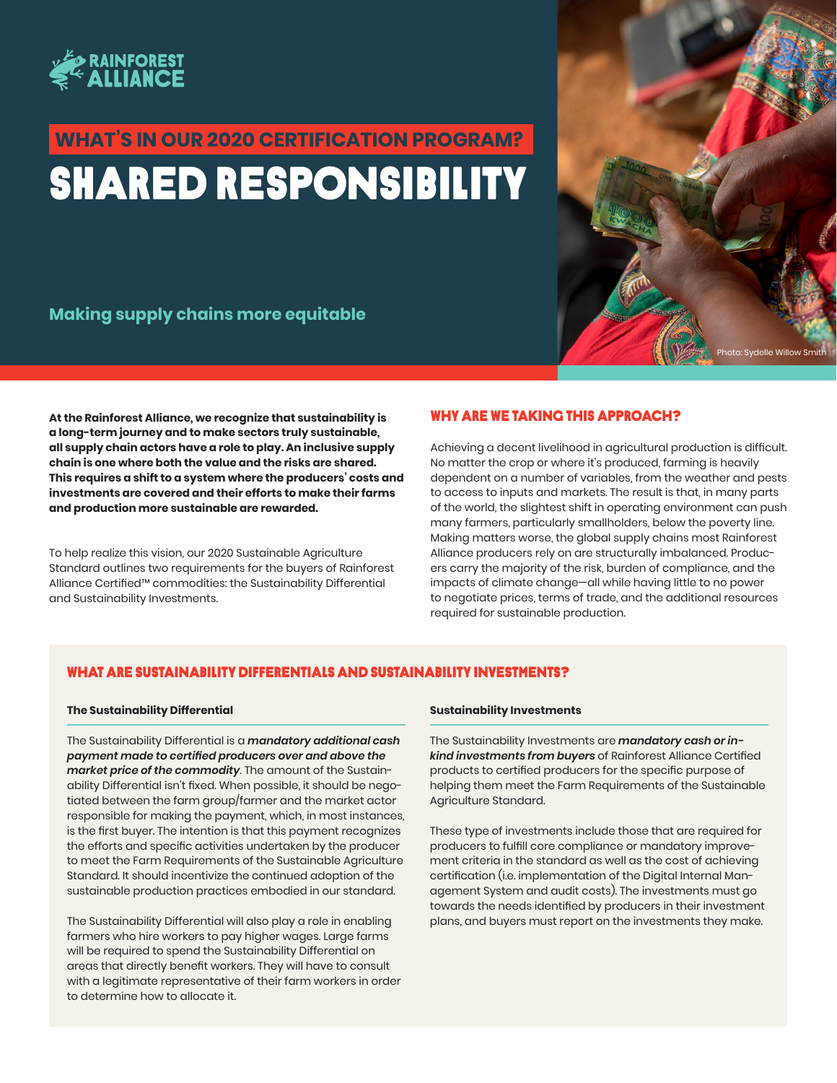

# Shared responsibility **WHAT'S IN OUR 2020 CERTIFICATION PROGRAM?**

**Making supply chains more equitable**

**At the Rainforest Alliance, we recognize that sustainability is a long-term journey and to make sectors truly sustainable, all supply chain actors have a role to play. An inclusive supply chain is one where both the value and the risks are shared. This requires a shift to a system where the producers' costs and investments are covered and their efforts to make their farms and production more sustainable are rewarded.**

To help realize this vision, our 2020 Sustainable Agriculture Standard outlines two requirements for the buyers of Rainforest Alliance Certified™ commodities: the Sustainability Differential and Sustainability Investments.

# WHY ARE WE TAKING THIS APPROACH?

Achieving a decent livelihood in agricultural production is difficult. No matter the crop or where it's produced, farming is heavily dependent on a number of variables, from the weather and pests to access to inputs and markets. The result is that, in many parts of the world, the slightest shift in operating environment can push many farmers, particularly smallholders, below the poverty line. Making matters worse, the global supply chains most Rainforest Alliance producers rely on are structurally imbalanced. Producers carry the majority of the risk, burden of compliance, and the impacts of climate change—all while having little to no power to negotiate prices, terms of trade, and the additional resources required for sustainable production.

oto: Sydelle Willow Smith

# WHAT ARE SUSTAINABILITY DIFFERENTIALS AND SUSTAINABILITY INVESTMENTS?

#### **The Sustainability Differential**

The Sustainability Differential is a *mandatory additional cash payment made to certified producers over and above the market price of the commodity*. The amount of the Sustainability Differential isn't fixed. When possible, it should be negotiated between the farm group/farmer and the market actor responsible for making the payment, which, in most instances, is the first buyer. The intention is that this payment recognizes the efforts and specific activities undertaken by the producer to meet the Farm Requirements of the Sustainable Agriculture Standard. It should incentivize the continued adoption of the sustainable production practices embodied in our standard.

The Sustainability Differential will also play a role in enabling farmers who hire workers to pay higher wages. Large farms will be required to spend the Sustainability Differential on areas that directly benefit workers. They will have to consult with a legitimate representative of their farm workers in order to determine how to allocate it.

#### **Sustainability Investments**

The Sustainability Investments are *mandatory cash or inkind investments from buyers* of Rainforest Alliance Certified products to certified producers for the specific purpose of helping them meet the Farm Requirements of the Sustainable Agriculture Standard.

These type of investments include those that are required for producers to fulfill core compliance or mandatory improvement criteria in the standard as well as the cost of achieving certification (i.e. implementation of the Digital Internal Management System and audit costs). The investments must go towards the needs identified by producers in their investment plans, and buyers must report on the investments they make.